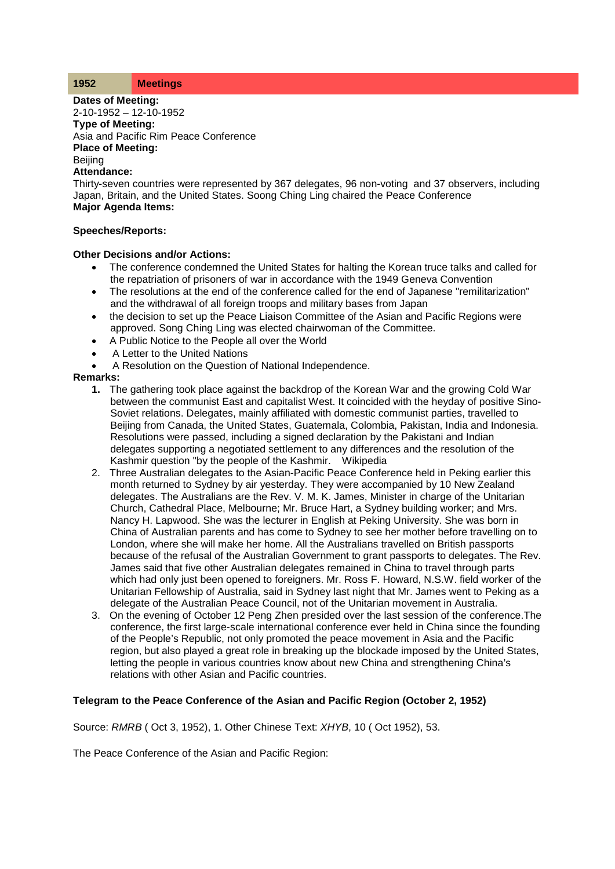#### **1952 Meetings**

**Dates of Meeting:**

2-10-1952 – 12-10-1952 **Type of Meeting:** Asia and Pacific Rim Peace Conference **Place of Meeting: Beijing Attendance:**

Thirty-seven countries were represented by 367 delegates, 96 non-voting and 37 observers, including Japan, Britain, and the United States. Soong Ching Ling chaired the Peace Conference **Major Agenda Items:**

## **Speeches/Reports:**

## **Other Decisions and/or Actions:**

- The conference condemned the United States for halting the Korean truce talks and called for the repatriation of prisoners of war in accordance with the 1949 Geneva Convention
- The resolutions at the end of the conference called for the end of Japanese "remilitarization" and the withdrawal of all foreign troops and military bases from Japan
- the decision to set up the Peace Liaison Committee of the Asian and Pacific Regions were approved. Song Ching Ling was elected chairwoman of the Committee.
- A Public Notice to the People all over the World
- A Letter to the United Nations
- A Resolution on the Question of National Independence.

## **Remarks:**

- **1.** The gathering took place against the backdrop of the Korean War and the growing Cold War between the communist East and capitalist West. It coincided with the heyday of positive Sino-Soviet relations. Delegates, mainly affiliated with domestic communist parties, travelled to Beijing from Canada, the United States, Guatemala, Colombia, Pakistan, India and Indonesia. Resolutions were passed, including a signed declaration by the Pakistani and Indian delegates supporting a negotiated settlement to any differences and the resolution of the Kashmir question "by the people of the Kashmir. Wikipedia
- 2. Three Australian delegates to the Asian-Pacific Peace Conference held in Peking earlier this month returned to Sydney by air yesterday. They were accompanied by 10 New Zealand delegates. The Australians are the Rev. V. M. K. James, Minister in charge of the Unitarian Church, Cathedral Place, Melbourne; Mr. Bruce Hart, a Sydney building worker; and Mrs. Nancy H. Lapwood. She was the lecturer in English at Peking University. She was born in China of Australian parents and has come to Sydney to see her mother before travelling on to London, where she will make her home. All the Australians travelled on British passports because of the refusal of the Australian Government to grant passports to delegates. The Rev. James said that five other Australian delegates remained in China to travel through parts which had only just been opened to foreigners. Mr. Ross F. Howard, N.S.W. field worker of the Unitarian Fellowship of Australia, said in Sydney last night that Mr. James went to Peking as a delegate of the Australian Peace Council, not of the Unitarian movement in Australia.
- 3. On the evening of October 12 Peng Zhen presided over the last session of the conference.The conference, the first large-scale international conference ever held in China since the founding of the People's Republic, not only promoted the peace movement in Asia and the Pacific region, but also played a great role in breaking up the blockade imposed by the United States, letting the people in various countries know about new China and strengthening China's relations with other Asian and Pacific countries.

# **Telegram to the Peace Conference of the Asian and Pacific Region (October 2, 1952)**

Source: *RMRB* ( Oct 3, 1952), 1. Other Chinese Text: *XHYB*, 10 ( Oct 1952), 53.

The Peace Conference of the Asian and Pacific Region: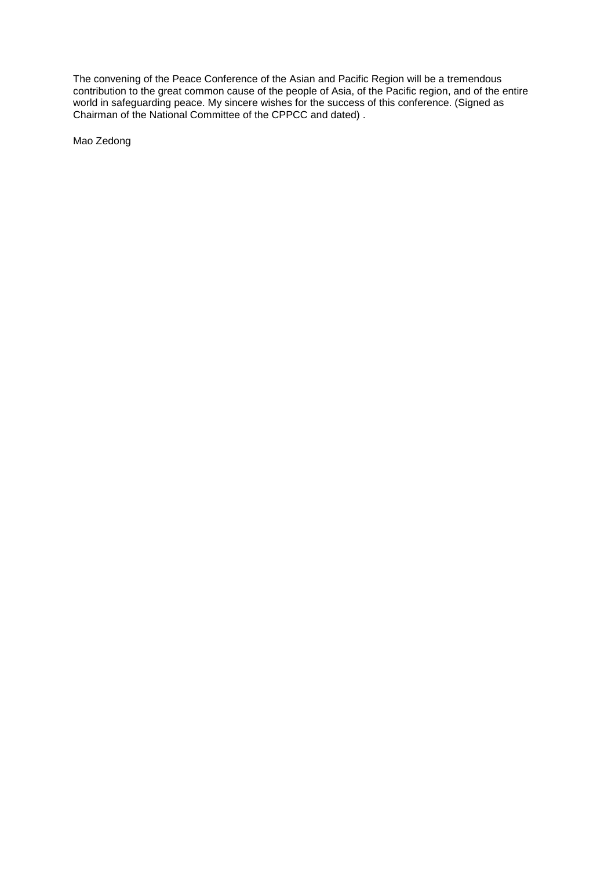The convening of the Peace Conference of the Asian and Pacific Region will be a tremendous contribution to the great common cause of the people of Asia, of the Pacific region, and of the entire world in safeguarding peace. My sincere wishes for the success of this conference. (Signed as Chairman of the National Committee of the CPPCC and dated) .

Mao Zedong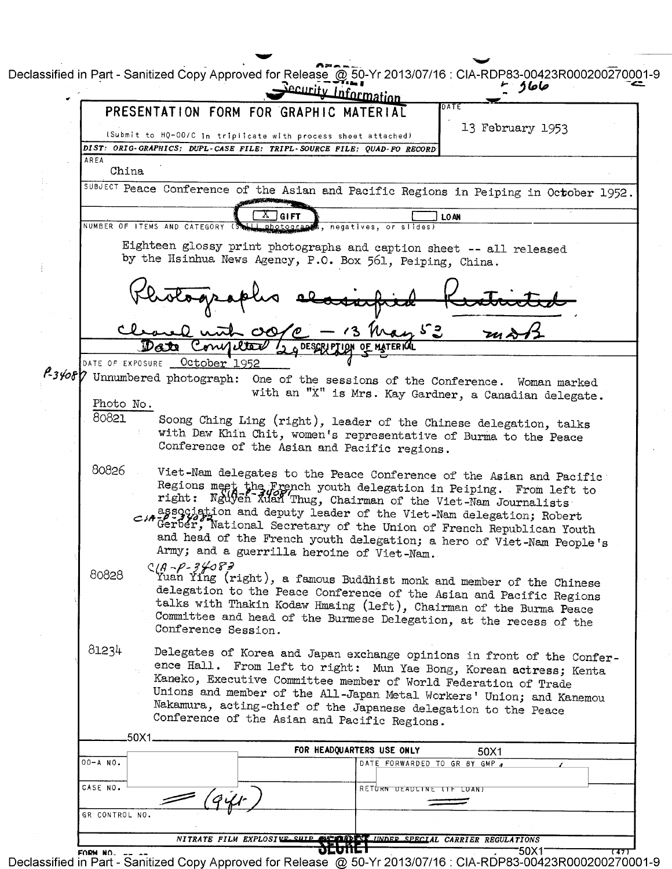Declassified in Part - Sanitized Copy Approved for Release @ 50-Yr 2013/07/16 : CIA-RDP83-00423R000200270001-9 حاجا د ermation PRESENTATION FORM FOR GRAPH 13 February 1953 (Submit to HQ-00/C in triplicate with process sheet attached) DIST: ORIG-GRAPHICS; DUPL-CASE FILE; TRIPL-SOURCE FILE; QUAD-FO RECORD AREA China SUBJECT Peace Conference of the Asian and Pacific Regions in Peiping in October 1952. **GIFT**  $]$  loan NUMBER OF ITEMS AND CATEGORY **A.S.**, negatives, or slides) Eighteen glossy print photographs and caption sheet -- all released by the Hsinhua News Agency, P.O. Box 561, Peiping, China. a with ුග  $\sqrt{3}$ onnetter DESCRIPTION OF MATERICO October 1952 DATE OF EXPOSURE A34087 Unnumbered photograph: One of the sessions of the Conference. Woman marked with an "X" is Mrs. Kay Gardner, a Canadian delegate. Photo No. 80821 Soong Ching Ling (right), leader of the Chinese delegation, talks with Daw Khin Chit, women's representative of Burma to the Peace Conference of the Asian and Pacific regions. 80826 Viet-Nam delegates to the Peace Conference of the Asian and Pacific Regions meet the Erench youth delegation in Peiping. From left to right: Nguyen Man Thug, Chairman of the Viet-Nam Journalists association and deputy leader of the Viet-Nam delegation; Robert Gerber, National Secretary of the Union of French Republican Youth and head of the French youth delegation; a hero of Viet-Nam People's Army; and a guerrilla heroine of Viet-Nam.  $C/A \sim P - 3/68$ <br>Yuan Ying (right), a famous Buddhist monk and member of the Chinese 80828 delegation to the Peace Conference of the Asian and Pacific Regions talks with Thakin Kodaw Hmaing (left), Chairman of the Burma Peace Committee and head of the Burmese Delegation, at the recess of the Conference Session. 81234 Delegates of Korea and Japan exchange opinions in front of the Conference Hall. From left to right: Mun Yae Bong, Korean actress; Kenta Kaneko, Executive Committee member of World Federation of Trade Unions and member of the All-Japan Metal Workers' Union; and Kanemou Nakamura, acting-chief of the Japanese delegation to the Peace Conference of the Asian and Pacific Regions.  $.50X1$ FOR HEADQUARTERS USE ONLY 50X1  $00 - A$  NO. DATE FORWARDED TO GR BY GMP 4 CASE NO. RETURN DEADLINE (IF LUAN) GR CONTROL NO. NITRATE FILM EXPLOSIVE SHI **INDER SPECIAL CARRIER REGULATIONS** dconc

'50X1 FORM NO. Declassified in Part - Sanitized Copy Approved for Release @ 50-Yr 2013/07/16 : CIA-RDP83-00423R000200270001-9